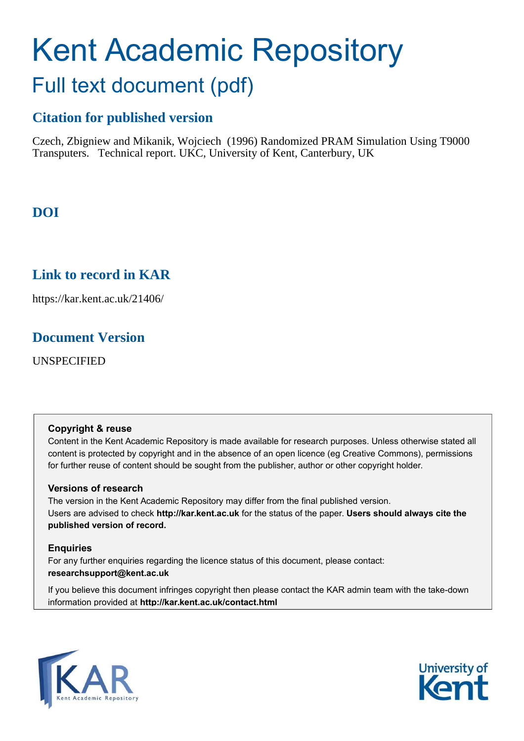# Kent Academic Repository Full text document (pdf)

# **Citation for published version**

Czech, Zbigniew and Mikanik, Wojciech (1996) Randomized PRAM Simulation Using T9000 Transputers. Technical report. UKC, University of Kent, Canterbury, UK

# **DOI**

# **Link to record in KAR**

https://kar.kent.ac.uk/21406/

## **Document Version**

UNSPECIFIED

### **Copyright & reuse**

Content in the Kent Academic Repository is made available for research purposes. Unless otherwise stated all content is protected by copyright and in the absence of an open licence (eg Creative Commons), permissions for further reuse of content should be sought from the publisher, author or other copyright holder.

### **Versions of research**

The version in the Kent Academic Repository may differ from the final published version. Users are advised to check **http://kar.kent.ac.uk** for the status of the paper. **Users should always cite the published version of record.**

### **Enquiries**

For any further enquiries regarding the licence status of this document, please contact: **researchsupport@kent.ac.uk**

If you believe this document infringes copyright then please contact the KAR admin team with the take-down information provided at **http://kar.kent.ac.uk/contact.html**



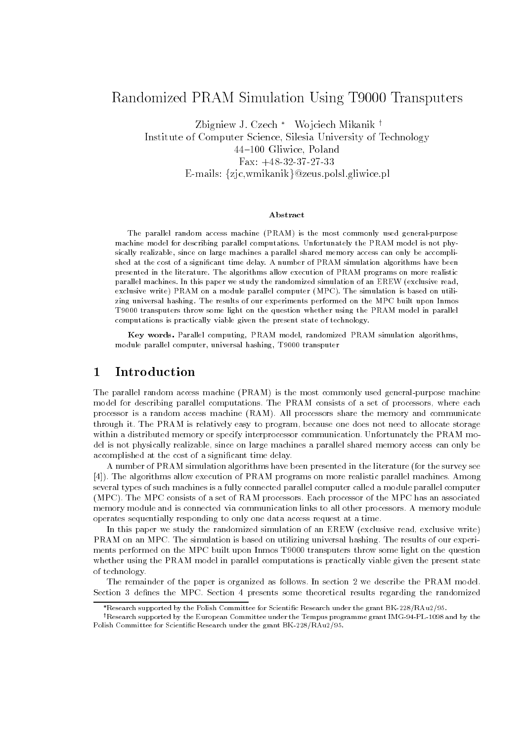### Randomized PRAM Simulation Using T- Transputers

zbigniew J. Czech – wojciech Mikanik j Institute of Computer Science, Silesia University of Technology a a comment and a calculate  $\frac{1}{2}$   $\frac{1}{2}$   $\frac{1}{2}$   $\frac{1}{2}$   $\frac{1}{2}$   $\frac{1}{2}$   $\frac{1}{2}$   $\frac{1}{2}$   $\frac{1}{2}$   $\frac{1}{2}$   $\frac{1}{2}$   $\frac{1}{2}$   $\frac{1}{2}$   $\frac{1}{2}$   $\frac{1}{2}$   $\frac{1}{2}$   $\frac{1}{2}$   $\frac{1}{2}$   $\frac{1}{2}$   $\frac{1}{2}$   $\frac{1}{2}$   $\frac{1}{2}$  E-mails: {zjc,wmikanik}@zeus.polsl.gliwice.pl

#### Abstract

The parallel random access machine -PRAM is the most commonly used generalpurpose machine model for describing parallel computations Unfortunately the PRAM model is not phy sically realizable, since on large machines a parallel shared memory access can only be accomplished at the cost of a significant time delay. A number of PRAM simulation algorithms have been presented in the literature The algorithms allow execution of PRAM programs on more realistic parallel machines In this paper we study the randomized simulation of an EREW -exclusive read exclusive write PRAM on a module parallel computer -MPC The simulation is based on utili zing universal hashing. The results of our experiments performed on the MPC built upon Inmos T9000 transputers throw some light on the question whether using the PRAM model in parallel computations is practically viable given the present state of technology

Key words- Parallel computing PRAM model randomized PRAM simulation algorithms module parallel computer, universal hashing, T9000 transputer

#### $\mathbf{1}$ Introduction

The parallel random access machine -PRAM is the most commonly used generalpurpose machine model for describing parallel computations. The PRAM consists of a set of processors, where each processor is a random access machine -RAM All processors share the memory and communicate through it The PRAM is relatively easy to program because one does not need to allocate storage within a distributed memory or specify interprocessor communication. Unfortunately the PRAM model is not physically realizable, since on large machines a parallel shared memory access can only be accomplished at the cost of a significant time delay.

A number of PRAM simulation algorithms have been presented in the literature -for the survey see The algorithms allow execution of PRAM programs on more realistic parallel machines Among several types of such machines is a fully connected parallel computer called a module parallel computer -MPC The MPC consists of a set of RAM processors Each processor of the MPC has an associated memory module and is connected via communication links to all other processors A memory module operates sequentially responding to only one data access request at a time

In this paper we study the randomized simulation of an EREW -exclusive read exclusive write PRAM on an MPC. The simulation is based on utilizing universal hashing. The results of our experiments performed on the MPC built upon Inmos T9000 transputers throw some light on the question whether using the PRAM model in parallel computations is practically viable given the present state of technology

The remainder of the paper is organized as follows. In section 2 we describe the PRAM model. Section 3 defines the MPC. Section 4 presents some theoretical results regarding the randomized

 $R$ research supported by the Folish Committee for Scientific Research under the grant BR-228/ RAu2/95.

 $^\circ$  Kesearch supported by the European Committee under the Tempus programme grant IMG-94-FL-1098 and by the r committee for Scientific Committee for Scientific Committee for Scientific Committee (Scientific Co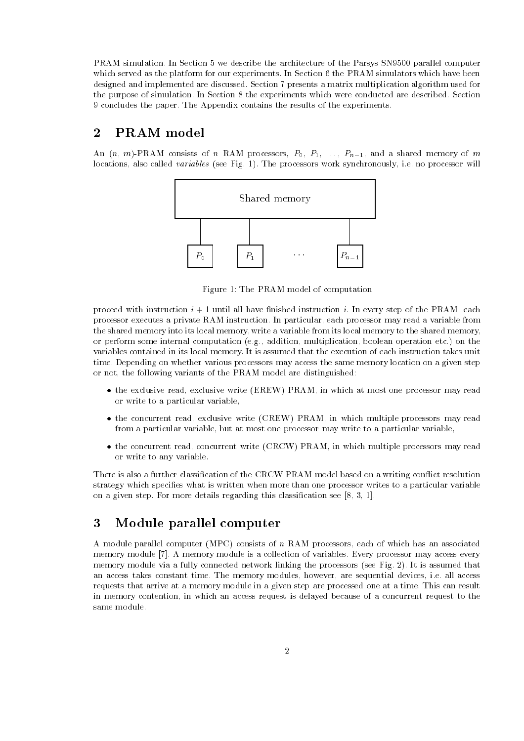PRAM simulation. In Section 5 we describe the architecture of the Parsys SN9500 parallel computer which served as the platform for our experiments. In Section 6 the PRAM simulators which have been designed and implemented are discussed. Section 7 presents a matrix multiplication algorithm used for the purpose of simulation. In Section 8 the experiments which were conducted are described. Section 9 concludes the paper. The Appendix contains the results of the experiments.

#### PRAM model  $\overline{2}$

and  $\{ \cdot \cdot \}$  is consistent of  $\{ \cdot \cdot \}$  and and also consistent of  $\{ \cdot \cdot \}$  is  $\{ \cdot \cdot \}$  and  $\{ \cdot \cdot \}$  and  $\{ \cdot \cdot \}$ locations also called variables -see Fig The processors work synchronously ie no processor will



Figure 1: The PRAM model of computation

proceed with instruction  $i + 1$  until all have finished instruction i. In every step of the PRAM, each processor executes a private RAM instruction. In particular, each processor may read a variable from the shared memory into its local memory, write a variable from its local memory to the shared memory, er perform some internal computation (sq) computation internal computation etc. Approximation of the control variables contained in its local memory It is assumed that the execution of each instruction takes unit time Depending on whether various processors may access the same memory location on a given step or not, the following variants of the PRAM model are distinguished:

- the exclusive reading exclusive write  $\{m+1, n+1, \ldots, m+1\}$  at most one at most one processor many reading or write to a particular variable
- the concurrent ready exclusive write  $\mathcal{C}$  with  $\mathcal{C}$  is allowed the which multiple processors may ready from a particular variable, but at most one processor may write to a particular variable,
- the concurrent ready concurrent write  $\sqrt{2}$  and  $\sqrt{2}$  concerns multiple processors may ready or write to any variable

There is also a further classification of the CRCW PRAM model based on a writing conflict resolution strategy which specifies what is written when more than one processor writes to a particular variable on a given step For more details regarding this classication see

#### 3 Module parallel computer

A module parallel computer -MPC consists of <sup>n</sup> RAM processors each of which has an associated memory module A memory module is a collection of variables Every processor may access every memory module via a fully connected network linking the processors -see Fig 
 It is assumed that an access takes constant time. The memory modules, however, are sequential devices, i.e. all access requests that arrive at a memory module in a given step are processed one at a time This can result in memory contention, in which an access request is delayed because of a concurrent request to the same module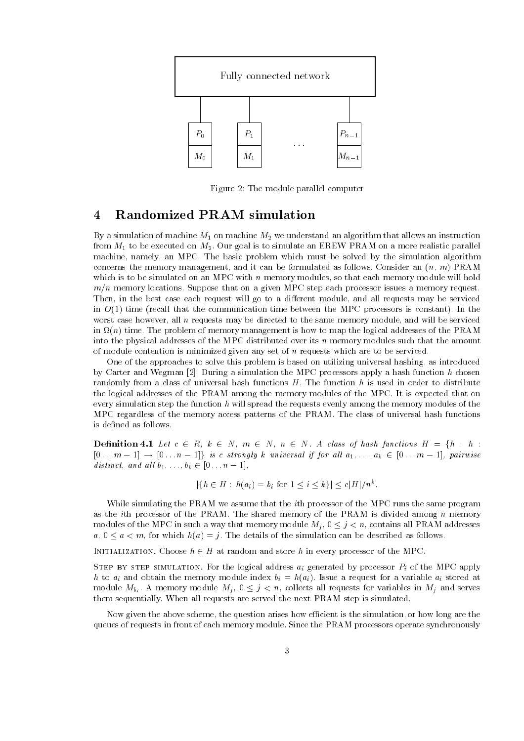

Figure 2: The module parallel computer

### Randomized PRAM simulation

 $\mathcal{L}_{\mathcal{U}}$  a simulation of machine  $\mathcal{L}_{1}$  , and algorithm that allows an algorithm that allows an instruction from M- to be executed on M Our goal is to simulate an EREW PRAM on a more realistic parallel machine, namely, an MPC. The basic problem which must be solved by the simulation algorithm concerns the memory management and it can be formulated as follows Consider an -n- mPRAM which is to be simulated on an MPC with  $n$  memory modules, so that each memory module will hold  $m/n$  memory locations. Suppose that on a given MPC step each processor issues a memory request. Then, in the best case each request will go to a different module, and all requests may be serviced in O-, alone , that the communication time communication time with the MPC processors in the MPC and the Commu worst case however, all  $n$  requests may be directed to the same memory module, and will be serviced in -n time The problem of memory management is how to map the logical addresses of the PRAM into the physical addresses of the MPC distributed over its <sup>n</sup> memory modules such that the amount of module contention is minimized given any set of  $n$  requests which are to be serviced.

One of the approaches to solve this problem is based on utilizing universal hashing, as introduced by Carter and Wegman During a simulation the MPC processors apply a hash function <sup>h</sup> chosen randomly from a class of universal hash functions  $H$ . The function  $h$  is used in order to distribute the logical addresses of the PRAM among the memory modules of the MPC It is expected that on every simulation step the function <sup>h</sup> will spread the requests evenly among the memory modules of the MPC regardless of the memory access patterns of the PRAM The class of universal hash functions is defined as follows.

**Definition 4.1** Let  $c \in R$ ,  $k \in N$ ,  $m \in N$ ,  $n \in N$ . A class of hash functions  $H = \{h : h : h\}$  $[0 \dots m-1] \rightarrow [0 \dots n-1]$  is c strongly k universal if for all  $a_1, \dots, a_k \in [0 \dots m-1]$ , pairwise distinct, and all  $b_1, \ldots, b_k \in [0 \ldots n-1],$ 

$$
|\{h \in H : h(a_i) = b_i \text{ for } 1 \le i \le k\}| \le c|H|/n^k.
$$

While simulating the PRAM we assume that the ith processor of the MPC runs the same program as the *i*th processor of the PRAM. The shared memory of the PRAM is divided among  $n$  memory modules of the MPC in such a way that memory module  $M_j$ ,  $0 \leq j \leq n$ , contains all PRAM addresses  $a, 0 \le a \le m$ , for which  $h(a) = j$ . The details of the simulation can be described as follows.

INITIALIZATION. Choose  $h \in H$  at random and store h in every processor of the MPC.

step by step simulation- for the logical address  $\eta$  generated by processor Pi of the MPC apply he to all module in the memory module index  $\{ \quad \cdots \}$  ,  $\{ \quad \cdots \}$  is an and at a variable all memory  $\cdots$ module  $M_{b_i}$ . A memory module  $M_j$ ,  $0 \leq j \leq n$ , collects all requests for variables in  $M_j$  and serves them sequentially. When all requests are served the next PRAM step is simulated.

Now given the above scheme, the question arises how efficient is the simulation, or how long are the queues of requests in front of each memory module Since the PRAM processors operate synchronously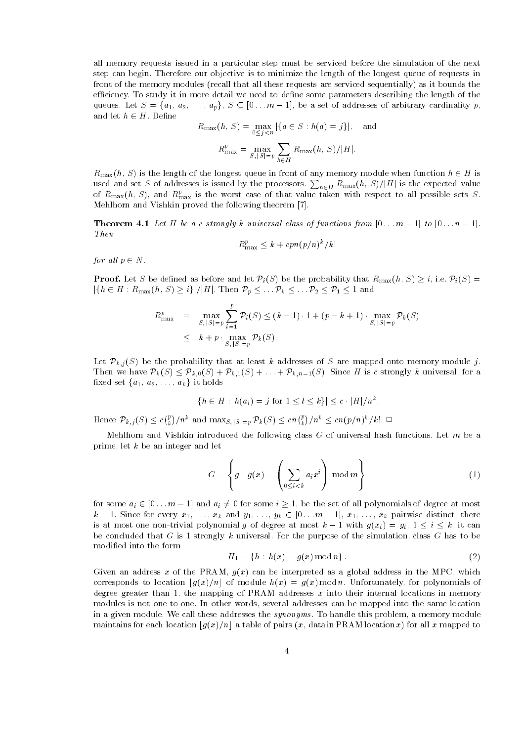all memory requests issued in a particular step must be serviced before the simulation of the next step can begin Therefore our objective is to minimize the length of the longest queue of requests in front of the memory modules -recall that all these requests are serviced sequentially as it bounds the efficiency. To study it in more detail we need to define some parameters describing the length of the queues. Let  $S = \{a_1, a_2, \ldots, a_p\}, S \subseteq [0 \ldots m-1],$  be a set of addresses of arbitrary cardinality p, and let  $h \in H$  . Define

$$
R_{\max}(h, S) = \max_{0 \le j < n} |\{a \in S : h(a) = j\}|, \text{ and}
$$
\n
$$
R_{\max}^p = \max_{S, |S| = p} \sum_{h \in H} R_{\max}(h, S) / |H|.
$$

hH

 $R_{\text{max}}(h, S)$  is the length of the longest queue in front of any memory module when function  $h \in H$  is used and set S of addresses is issued by the processors.  $\sum_{h\in H} R_{\max}(h,\,S) / |H|$  is the expected value of  $R_{\max}(n,\beta)$ , and  $R_{\max}^r$  is the worst case of that value taken with respect to all possible sets  $\beta.$ Mehlhorn and Vishkin proved the following theorem

**THEOLEM T.I** Let  $H$  we are strongly a universal class of functions from  $W$ ,  $H = 1$  to  $W$ ,  $H = 1$ , The second control in the second control in the second control in the second control in the second control in the second control in the second control in the second control in the second control in the second control in th

$$
R_{\max}^p \le k + c p n (p/n)^k / k!
$$

for all  $p \in N$ .

**Proof.** Let S be defined as before and let  $\mathcal{P}_i(S)$  be the probability that  $R_{\max}(h, S) \geq i$ , i.e.  $\mathcal{P}_i(S)$  =  $|\{h\in H: R_{\max}(h,\,S)\geq i\}|/|H|. \text{ Then }\mathcal{P}_p\leq\ldots\mathcal{P}_k\leq\ldots\mathcal{P}_2\leq \mathcal{P}_1\leq 1 \text{ and }$ 

$$
R_{\max}^p = \max_{S, |S|=p} \sum_{i=1}^p \mathcal{P}_i(S) \le (k-1) \cdot 1 + (p-k+1) \cdot \max_{S, |S|=p} \mathcal{P}_k(S)
$$
  

$$
\le k + p \cdot \max_{S, |S|=p} \mathcal{P}_k(S).
$$

Let  $\mathcal{P}_{k,j}(S)$  be the probability that at least k addresses of S are mapped onto memory module j. Then we have  $\mathcal{P}_k(S) \leq \mathcal{P}_{k,0}(S) + \mathcal{P}_{k,1}(S) + \ldots + \mathcal{P}_{k,n-1}(S)$ . Since H is c strongly k universal, for a fixed set  $\{a_1, a_2, \ldots, a_k\}$  it holds

$$
|\{h \in H : h(a_l) = j \text{ for } 1 \le l \le k\}| \le c \cdot |H|/n^k.
$$

Hence  $\mathcal{P}_{k,j}(S) \leq c {n \choose k}/n^k$  and  $\max_{S, |S|=p} \mathcal{P}_k(S) \leq cn {n \choose k}/n^k \leq cn(p/n)^k/k!$ .

Mehlhorn and Vishkin introduced the following class  $G$  of universal hash functions. Let  $m$  be a prime, let  $k$  be an integer and let

$$
G = \left\{ g : g(x) = \left( \sum_{0 \le i < k} a_i x^i \right) \mod m \right\} \tag{1}
$$

for some  $a_i \in [0 \dots m-1]$  and  $a_i \neq 0$  for some  $i \geq 1$ , be the set of all polynomials of degree at most  $k-1$ . Since for every  $x_1, \ldots, x_k$  and  $y_1, \ldots, y_k \in [0 \ldots m-1], x_1, \ldots, x_k$  pairwise distinct, there is at most one non-trivial polynomial g of degree at most  $k-1$  with  $g(x_i) = y_i, 1 \le i \le k$ , it can be concluded that G is 1 strongly k universal. For the purpose of the simulation, class G has to be modified into the form

$$
H_1 = \{ h : h(x) = g(x) \bmod n \} . \tag{2}
$$

Given and an address we can be a growing dim b-cannot we have an address and an address in the MPC which corresponds to location  $\lfloor g(x)/n \rfloor$  of module  $h(x) = g(x) \bmod n$ . Unfortunately, for polynomials of degree greater than 1, the mapping of PRAM addresses  $x$  into their internal locations in memory modules is not one to one. In other words, several addresses can be mapped into the same location in a given module. We call these addresses the *synonyms*. To handle this problem, a memory module maintains for each location  $[g(x)/n]$  a table of pairs  $(x, \text{ data in PRAM location } x)$  for all x mapped to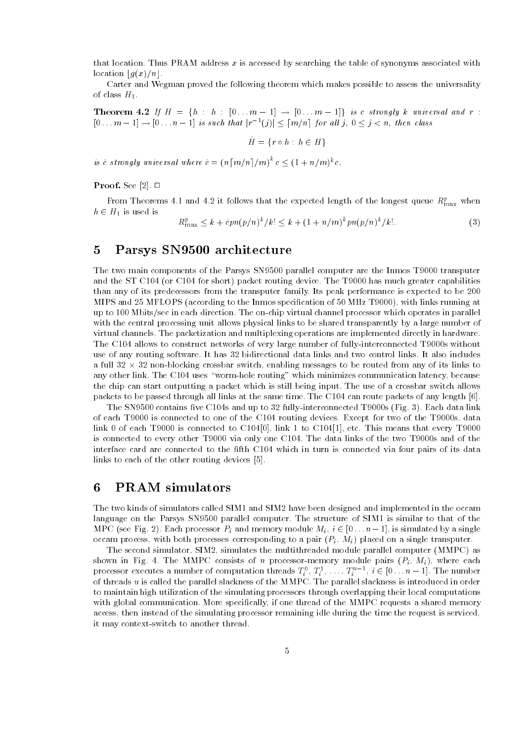that location. Thus PRAM address  $x$  is accessed by searching the table of synonyms associated with location  $\lfloor g(x)/n \rfloor$ .

Carter and Wegman proved the following theorem which makes possible to assess the universality of class file

**Theorem 4.2** If  $H = \{h : h : [0 \dots m-1] \rightarrow [0 \dots m-1] \}$  is c strongly k universal and r:  $[0...m-1] \rightarrow [0...n-1]$  is such that  $|r^{-1}(j)| \leq [m/n]$  for all j,  $0 \leq j < n$ , then class

$$
H = \{ r \circ h : h \in H \}
$$

is  $\hat{c}$  strongly universal where  $\hat{c} = (n \lceil m/n \rceil / m)^k c \leq (1 + n/m)^k c$ .

 $\blacksquare$   $\blacksquare$   $\blacksquare$   $\blacksquare$   $\blacksquare$   $\blacksquare$   $\blacksquare$   $\blacksquare$   $\blacksquare$   $\blacksquare$   $\blacksquare$   $\blacksquare$   $\blacksquare$   $\blacksquare$   $\blacksquare$   $\blacksquare$   $\blacksquare$   $\blacksquare$   $\blacksquare$   $\blacksquare$   $\blacksquare$   $\blacksquare$   $\blacksquare$   $\blacksquare$   $\blacksquare$   $\blacksquare$   $\blacksquare$   $\blacksquare$   $\blacksquare$   $\blacksquare$   $\blacksquare$   $\blacks$ 

From Theorems 4.1 and 4.2 it follows that the expected length of the longest queue  $R_{\max}^c$  when  $h \in H_1$  is used is

$$
R_{\max}^p \le k + \hat{c}pn(p/n)^k / k! \le k + (1 + n/m)^k pn(p/n)^k / k!.
$$
 (3)

### 5 Parsys SN9500 architecture

The two main components of the Parsys SN9500 parallel computer are the Inmos T9000 transputer and the ST C  $\mu$  -corection  $\mu$  and  $\mu$  are much greater than  $\mu$ than any of its predecessors from the transputer family Its peak performance is expected to be 
  $M$  and  $M$  and  $M$  and  $M$  and  $M$  The Inmos species running at  $M$  The Inmos species running at  $M$ up to 100 Mbits/sec in each direction. The on-chip virtual channel processor which operates in parallel with the central processing unit allows physical links to be shared transparently by a large number of virtual channels The packetization and multiplexing operations are implemented directly in hardware The C104 allows to construct networks of very large number of fully-interconnected T9000s without use of any routing software. It has 32 bidirectional data links and two control links. It also includes a full  $32 \times 32$  non-blocking crossbar switch, enabling messages to be routed from any of its links to any other link. The C104 uses "worm-hole routing" which minimizes communication latency, because the chip can start outputting a packet which is still being input The use of a crossbar switch allows packets to be passed through all links at the same times we can route the can packet in any length pack

The SN contains ve C s and up to 
 fullyinterconnected Ts -Fig Each data link of each T9000 is connected to one of the C104 routing devices. Except for two of the T9000s, data is connected to connected the connected to  $\mathbb{R}^n$  . This means that every This means that every This means that every This means the connected to Christian means the connected to Christian means the connected to Chris is connected to every other T9000 via only one C104. The data links of the two T9000s and of the interface card are connected to the fifth C104 which in turn is connected via four pairs of its data links to each of the other routing devices to each of the other routing devices  $\mathbf{r}_i$ 

#### 6 PRAM simulators

The two kinds of simulators called SIM1 and SIM2 have been designed and implemented in the occam language on the Parsys SN9500 parallel computer. The structure of SIM1 is similar to that of the MPC (see Fig. 2). Each processor  $P_i$  and memory module  $M_i, i \in [0 \dots n-1]$ , is simulated by a single occam process with both processes corresponding to a pair  $\{Y_i\}$  - $\{Y_i\}$  praced on a single transputer.

the second simulated simulated module computer module module parallel computer (module  $\rightarrow$  ) as shown in Fig. 1, The MMPC consisted of n processor memory module pairs (F), where each processor executes a number of computation threads  $T_i^v, T_i^1, \ldots, T_i^{u-1}, i \in [0 \ldots n-1]$ . The number of threads  $u$  is called the parallel slackness of the MMPC. The parallel slackness is introduced in order to maintain high utilization of the simulating processors through overlapping their local computations with global communication. More specifically, if one thread of the MMPC requests a shared memory access, then instead of the simulating processor remaining idle during the time the request is serviced, it may context-switch to another thread.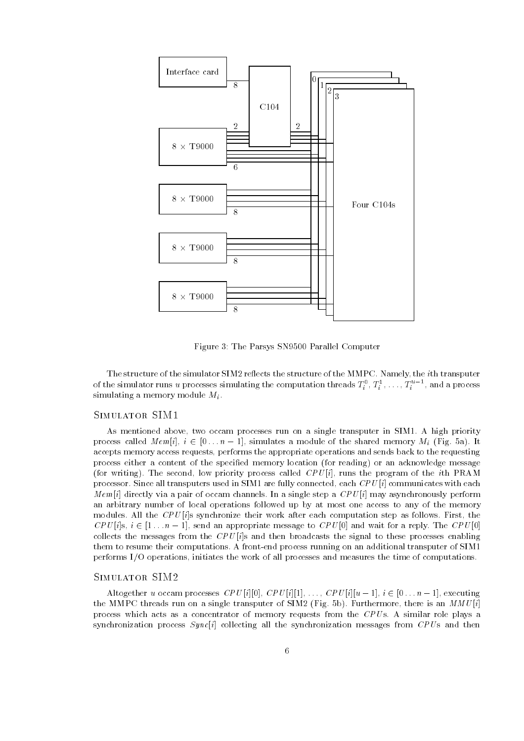

Figure 3: The Parsys SN9500 Parallel Computer

The structure of the simulator SIM2 reflects the structure of the MMPC. Namely, the *i*th transputer of the simulator runs  $u$  processes simulating the computation threads  $T_i^*, T_i^*, \ldots, T_i^*$  , and a process simulating a memory module  $M_i$ .

#### SIMULATOR SIM1

As mentioned above, two occam processes run on a single transputer in SIM1. A high priority process called Memily and Members and Members are memory Memory Mi - Shared Memory Mi - Shared Memory Mi - Sha accepts memory access requests performs the appropriate operations and sends back to the requesting process either a content of the specied memory location -for reading or an acknowledge message -for writing The second low priority process called CPU <sup>i</sup> runs the program of the ith PRAM processor Since all transputers used in SIM are fully connected each CPU <sup>i</sup> communicates with each Memi directly via a pair of occam channels In a single step a CPU <sup>i</sup> may asynchronously perform an arbitrary number of local operations followed up by at most one access to any of the memory modules All the CPU <sup>i</sup>s synchronize their work after each computation step as follows First the can approach and was interested to the computer of the contract of the contract of the CPU in a reply to the c collects the messages from the CPU <sup>i</sup>s and then broadcasts the signal to these processes enabling them to resume their computations. A front-end process running on an additional transputer of SIM1 performs I/O operations, initiates the work of all processes and measures the time of computations.

#### SIMULATOR SIM2

altogether u cocam processes CPU iu iu iu culturali cae culture celli CPU iu iu culture celli celli celli cell the ment of the case on a single transpose of Simon (Fig. of). She mented, there is an MMU is a process which acts as a concentrator of memory requests from the  $CPUs$ . A similar role plays a synchronization process Synci collecting all the synchronization messages from CPU s and then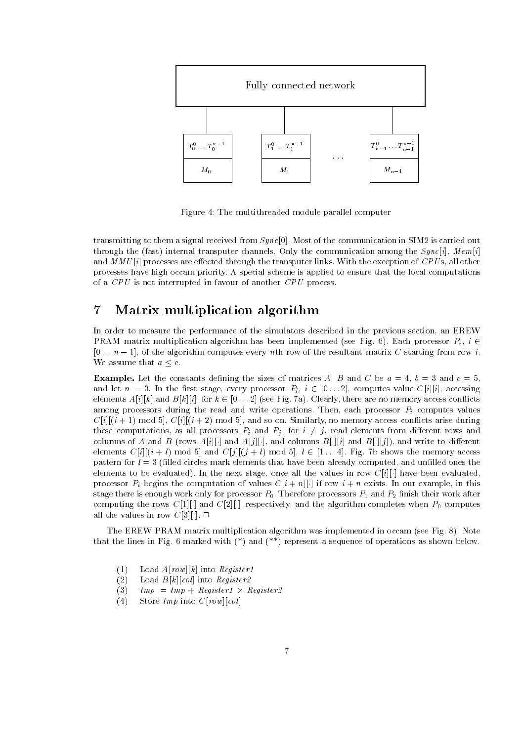

Figure 4: The multithreaded module parallel computer

transmitting to them a signal received from Synchol three of the communication in Simple to carried out through the (race) mechanic crance at the channels Only the communication among the Syncicle mechanic and music are extra through the transputer of the transputer lines with the transputer of the transputer of th processes have high occam priority A special scheme is applied to ensure that the local computations of a  $CPU$  is not interrupted in favour of another  $CPU$  process.

#### $\overline{7}$ Matrix multiplication algorithm

In order to measure the performance of the simulators described in the previous section, an EREW PRAM matrix multiplication algorithm has been implemented -see Fig Each processor Pi <sup>i</sup> -, and all the computes every need to result the results of the results matrix  $\alpha$  starting from row in We assume that  $a < c$ .

**Example.** Let the constants defining the sizes of matrices A, B and C be  $a = 4$ ,  $b = 3$  and  $c = 5$ , and let it was denoted the result of the restaurance of  $\mathfrak{g}_1$  in  $\infty$  , where  $\mathfrak{g}_2$  is the result of the restaurance elements are not the form of the control of the control of the control there are memory the control to the control of among processors during the read and write operations. Then, each processor  $P_i$  computes values cities and signification and so one on the society of the context of the context of the context of the context these computations, as all processors  $P_i$  and  $P_j$ , for  $i \neq j$ , read elements from different rows and rows and and and B - (and B - and B - and B - and B - and B - and B - and B - and B - and B - and B - and B elements City i *i lantar* city mod City i i lantar city i lantar computer and memory access pattern for l -lled circles mark elements that have been already computed and unlled ones the elements to be evaluated In the next staget once all the values in row City of the values in row City processor Pi begins the computation of values Ci n existing in the computation of values  $\mathcal{C}$ stage there is enough work on processor processors processor  $P$  and  $P$  nish their work after processors  $P$ computing the respectively algorithm computer when the and computered when computers when P  $\mu$  computes all the values in row C look in row

The EREW PRAME matrix multiplication algorithm was in our control in our control in our control in our control in our control in our control in our control in our control in our control in our control in our control in ou that the lines in Fig.  $\mathbf{r}$  and  $\mathbf{r}$  and  $\mathbf{r}$  are shown below below below below below below below below below below below below below below below below below below below below below by a shown below below by a

- $(1)$  $\mathbf{L}$  is a set of  $\mathbf{L}$  into  $\mathbf{L}$  and  $\mathbf{L}$  is a set of  $\mathbf{L}$
- $(2)$  $\blacksquare$  ) and collected by  $\blacksquare$  . The collection of  $\blacksquare$
- $(3)$  $tmp = tmp + Register1 \times Register2$
- $(4)$  $\mathcal{L}$  . Let us the contract  $\mathcal{L}$  and  $\mathcal{L}$  is the contract of  $\mathcal{L}$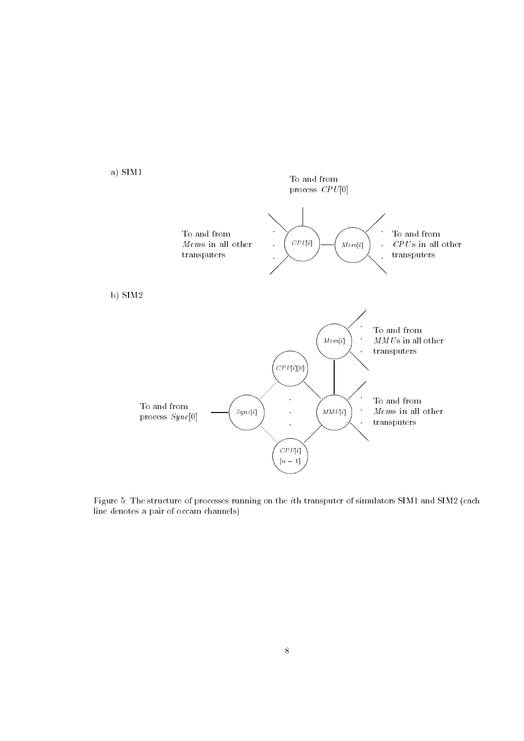

figure of fine structure of processes running on the the state of simulators of simulators simulations  $\frac{1}{2}$ line denotes a pair of occam channels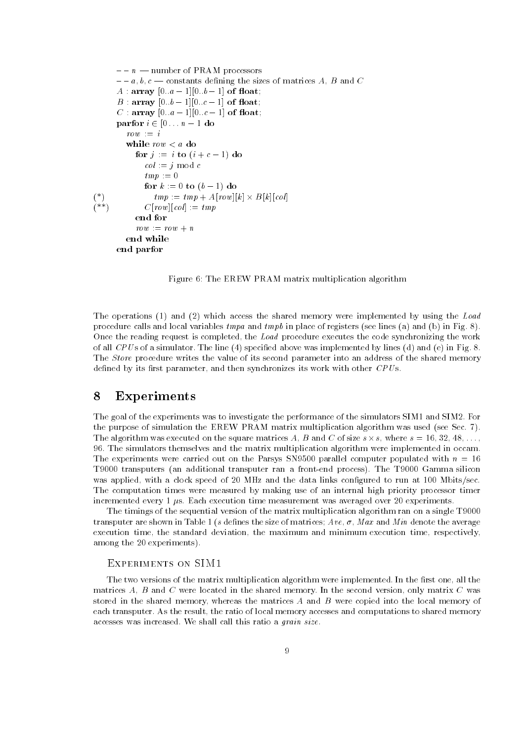```
- - n - number of PRAM processors
         . It also be constants dening the sizes of matrices \boldsymbol{\alpha} and \boldsymbol{\alpha} and \boldsymbol{\alpha}A  array a  
b  
 of oat#
         B  array b  
c  
 of oat#
         c and \sim . The contract of the contract of the contract of \simpartners in the contract of the second state of the second state of the second state of the second state of the
            \mathit{row} \ := \ iwhile row < a do
                for j  i to -
i  c   do
                    col = j \mod ctmp := 0for the computer of the form of the computer
(*)<br>(**)  tmp  tmp  Arow
k
  Bk
col 
-
 rested to the collection of the collection of the collection of the collection of the collection of the collect
                end for
                row := row + nend while
         end parfor
```
Figure 6: The EREW PRAM matrix multiplication algorithm

 $\blacksquare$  and  $\blacksquare$  and  $\blacksquare$  access the shared memory were input the shared memory were induced by using the Load procedure calls and local variables tmpa and tmpb in place of registers -see lines -a and -b in Fig Once the reading request is completed, the Load procedure executes the code synchronizing the work of and CPU s of a simulator The line - ( ) if it is a contract was implemented by lines ( ), and I ( ) and I ( The Store procedure writes the value of its second parameter into an address of the shared memory defined by its first parameter, and then synchronizes its work with other  $CPUs$ .

#### 8 Experiments

The goal of the experiments was to investigate the performance of the simulators SIM1 and SIM2. For the purpose of simulation the EREW PRAME matrix matrix multiplication algorithm was used the second The algorithm was executed on the square matrices A, B and C of size  $s \times s$ , where  $s = 16, 32, 48, \ldots$ , The simulators themselves and the matrix multiplication algorithm were implemented in occam The experiments were carried out on the Parsys SN9500 parallel computer populated with  $n = 16$  $\mathbf{r}_i$  transputers - and additional transputer range  $\mathbf{r}_i$  , and the Theorem silicon process The Theorem was applied, with a clock speed of 20 MHz and the data links configured to run at 100 Mbits/sec. The computation times were measured by making use of an internal high priority processor timer incremented every  $1 \mu s$ . Each execution time measurement was averaged over 20 experiments.

The timings of the sequential version of the matrix multiplication algorithm ran on a single T9000 transporte are shown in Table 1. August 1. August 1. August 1. August 1. August 1. August 1. August 1. August execution time, the standard deviation, the maximum and minimum execution time, respectively, among the 20 experiments).

The two versions of the matrix multiplication algorithm were implemented. In the first one, all the matrices  $A, B$  and  $C$  were located in the shared memory. In the second version, only matrix  $C$  was stored in the shared memory, whereas the matrices  $A$  and  $B$  were copied into the local memory of each transputer. As the result, the ratio of local memory accesses and computations to shared memory accesses was increased. We shall call this ratio a *grain size*.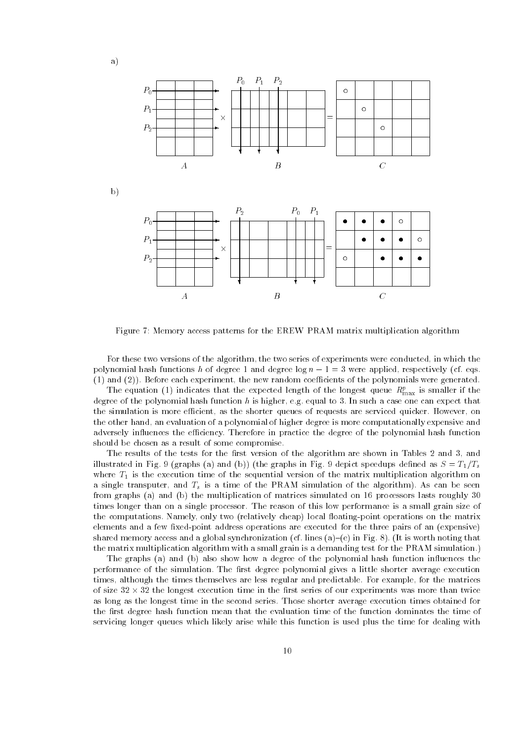

Figure 7: Memory access patterns for the EREW PRAM matrix multiplication algorithm

For these two versions of the algorithm, the two series of experiments were conducted, in which the polynomial has functions has degree and degree log n were applied respectively that applied respectively and , and , and , and the new random coefficients of the new random coefficients of the polynomials  $\alpha$  ,  $\alpha$  ,  $\alpha$  ,  $\alpha$  ,  $\alpha$  ,  $\alpha$  ,  $\alpha$  ,  $\alpha$  ,  $\alpha$  ,  $\alpha$  ,  $\alpha$  ,  $\alpha$  ,  $\alpha$  ,  $\alpha$  ,  $\alpha$  ,  $\alpha$  ,  $\alpha$  ,  $\alpha$  ,

The equation (1) indicates that the expected length of the longest queue  $R_{\text{max}}^c$  is smaller if the degree of the polynomial hash function h is higher, e.g. equal to 3. In such a case one can expect that the simulation is more efficient, as the shorter queues of requests are serviced quicker. However, on the other hand, an evaluation of a polynomial of higher degree is more computationally expensive and adversely influences the efficiency. Therefore in practice the degree of the polynomial hash function should be chosen as a result of some compromise

The results of the tests for the first version of the algorithm are shown in Tables 2 and 3, and illustrated in Fig -graphs -a and -b -the graphs in Fig depict speedups dened as S T-Ts where T-T-1 is the execution time of the sequential version of the matrix multiplication  $\omega$ a single transputer, and  $T_s$  is a time of the PRAM simulation of the algorithm). As can be seen from graphs (a) and (a) and multiplication of multiplication of matrices simulated on a signal and times longer than on a single processor The reason of this low performance is a small grain size of the computations Namely only two -relatively cheap local oatingpoint operations on the matrix elements and a few three pairs address operations are executed for the three pairs of an  $\mathfrak{t}$  and the three shared memory access and a global synchronization and  $\{x_i\}$  and  $\{x_i\}$  are  $\{x_i\}$  . The synchronization of  $\{x_i\}$ the matrix multiplication algorithm with a small grain is a demanding test for the PRAM simulation

The graphs -a and -b also show how a degree of the polynomial hash function inuences the performance of the simulation. The first degree polynomial gives a little shorter average execution times, although the times themselves are less regular and predictable. For example, for the matrices of size  $32 \times 32$  the longest execution time in the first series of our experiments was more than twice as long as the longest time in the second series. Those shorter average execution times obtained for the first degree hash function mean that the evaluation time of the function dominates the time of servicing longer queues which likely arise while this function is used plus the time for dealing with

b

a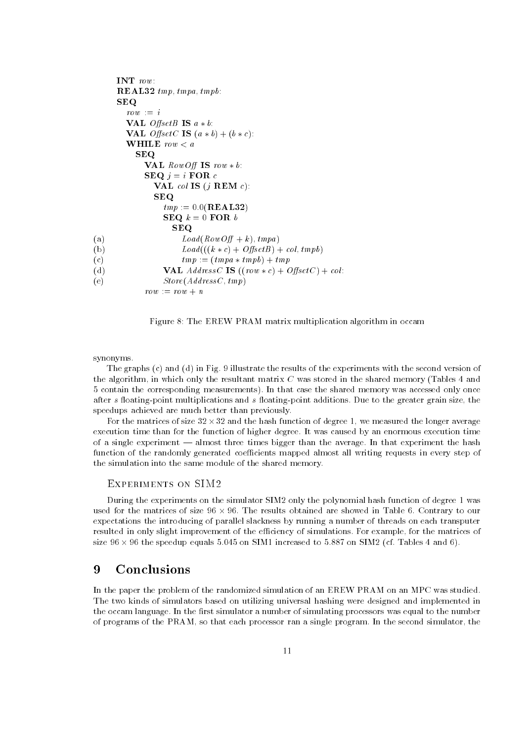```
INT row:
         REAL tmp-
 tmpa-
 tmpb
         SEQ
             row := iVAL OffsetB IS a * b:
             VAL OsetC IS -
a  b-
b  c
             WHILE row < aSEQ
                    VAL RowOff IS row * b:
                    \textbf{SEQ} j = i FOR c
                         VAL col IS -
j REM c
                        SEQ
                            \ldots , \ldots . \ldots , \ldots \ldots \ldots \ldots \ldotsSEQ k = 0 FOR bSEQ
                                - -(a)a load - the state of the state of the state of the state of the state of the state of the state of the state o
(b)\mathcal{L} = \{ \mathcal{L} = \{ \mathcal{L} \mid \mathcal{L} \} \mid \mathcal{L} = \{ \mathcal{L} \} \} . The collection of \mathcal{L} = \{ \mathcal{L} \}(c)the temperature of the temperature of the temperature of the temperature \mathcal{L}_t(d)and the collection of the collection of the collection of the collection of the collection of the collection o
(e)e store-store-store-store-store-store-store-store-store-store-store-store-store-store-store-store-store-store-
                    \Gamma v = r v w + n
```


synonyms

the graphs () and (a) in the results of the results with the second version with the second version of the algorithm in which only the resultant matrix  $\mathbf c$  was stored in the shared memory ( was stored memory 5 contain the corresponding measurements). In that case the shared memory was accessed only once after s floating-point multiplications and s floating-point additions. Due to the greater grain size, the speedups achieved are much better than previously

For the matrices of size  $32 \times 32$  and the hash function of degree 1, we measured the longer average execution time than for the function of higher degree It was caused by an enormous execution time of a single experiment - almost three times bigger than the average. In that experiment the hash function of the randomly generated coefficients mapped almost all writing requests in every step of the simulation into the same module of the shared memory

#### EXPERIMENTS ON SIM2

During the experiments on the simulator SIM2 only the polynomial hash function of degree 1 was used for the matrices of size  $96 \times 96$ . The results obtained are showed in Table 6. Contrary to our expectations the introducing of parallel slackness by running a number of threads on each transputer resulted in only slight improvement of the efficiency of simulations. For example, for the matrices of size is the speedup equals on to structure the content of the Simms (i.e. 2000) and SIM in SIM in

#### 9 Conclusions

In the paper the problem of the randomized simulation of an EREW PRAM on an MPC was studied The two kinds of simulators based on utilizing universal hashing were designed and implemented in the occam language. In the first simulator a number of simulating processors was equal to the number of programs of the PRAM so that each processor ran a single program In the second simulator the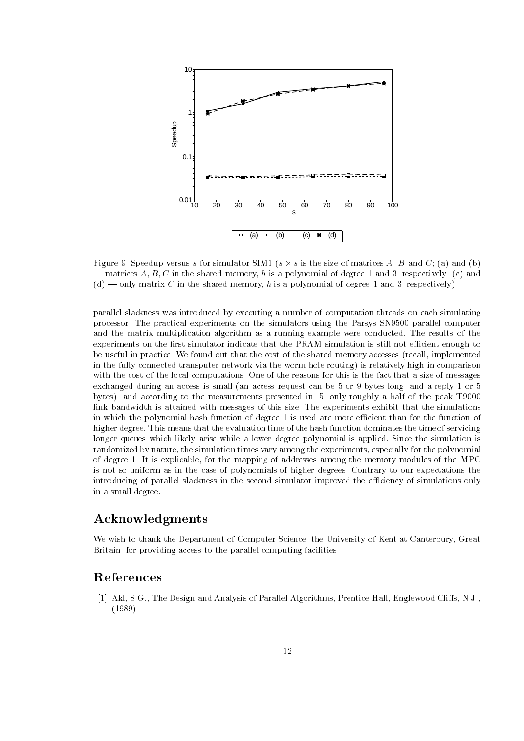

r ignes s is the size of the simulation series a series and size and size is the size of  $\{x\}$  and  $\{x\}$  $\mathbf{A}$ -c in the shared memory has polynomial of degree  $\mathbf{A}$ -d " only matrix C in the shared memory h is a polynomial of degree and respectively

parallel slackness was introduced by executing a number of computation threads on each simulating processor. The practical experiments on the simulators using the Parsys SN9500 parallel computer and the matrix multiplication algorithm as a running example were conducted. The results of the experiments on the first simulator indicate that the PRAM simulation is still not efficient enough to be useful in practice We found out that the cost of the shared memory accesses -recall implemented in the fully connected transputer network via the wormhole routing is relatively high in comparison with the cost of the local computations One of the reasons for this is the fact that a size of messages exchanged during an access is small (an access request can be very can remply and a reply reply to bytes and according to the measurements presented in only roughly a half of the peak T link bandwidth is attained with messages of this size The experiments exhibit that the simulations in which the polynomial hash function of degree 1 is used are more efficient than for the function of higher degree. This means that the evaluation time of the hash function dominates the time of servicing longer queues which likely arise while a lower degree polynomial is applied. Since the simulation is randomized by nature, the simulation times vary among the experiments, especially for the polynomial of degree 1. It is explicable, for the mapping of addresses among the memory modules of the MPC is not so uniform as in the case of polynomials of higher degrees Contrary to our expectations the introducing of parallel slackness in the second simulator improved the efficiency of simulations only in a small degree

### Acknowledgments

We wish to thank the Department of Computer Science, the University of Kent at Canterbury, Great Britain, for providing access to the parallel computing facilities.

### References

 Akl SG The Design and Analysis of Parallel Algorithms PrenticeHall Englewood Clis NJ . . . . . . .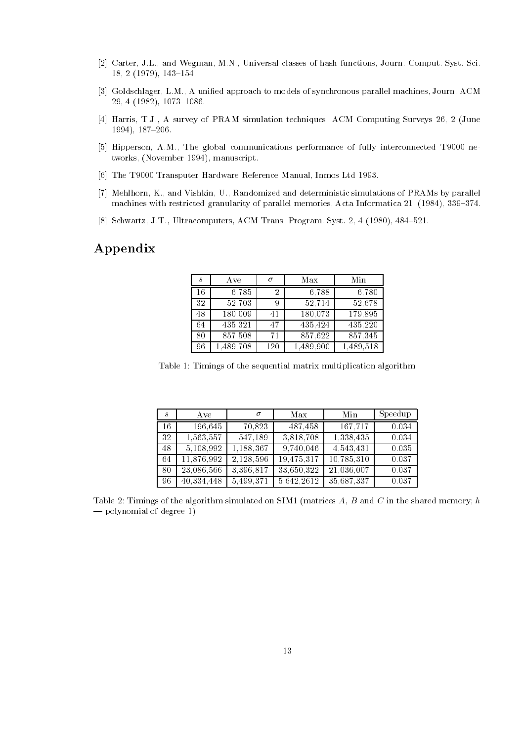- Carter JL and Wegman MN Universal classes of hash functions Journ Comput Syst Sci 
 - !
- Goldschlager LM A unied approach to models of synchronous parallel machines Journ ACM  $\blacksquare$  . The set of the set of the set of the set of the set of the set of the set of the set of the set of the set of the set of the set of the set of the set of the set of the set of the set of the set of the set of the
- Harris TJ A survey of PRAM simulation techniques ACM Computing Surveys -June  $1994), 187-206.$
- Hipperson AM The global communications performance of fully interconnected T ne two the set of the set of the set of the set of the set of the set of the set of the set of the set of the set
- ... The Transport Transport Inc. In the Control International International International International International International International International International International International International Intern
- Mehlhorn K and Vishkin U Randomized and deterministic simulations of PRAMs by parallel machines with restricted granularity of parallel memories Acta Informatica Informatica Acta Informatica Informatica Informatica Informatica Informatica Informatica Informatica Informatica Informatica Informatica Informati
- $\mathbb{R}^n$  , and the system of the system of the system of the system of the system  $\mathbb{R}^n$

### Appendix

| $\mathcal{S}_{1}^{2}$ | Ave       | σ   | Max       | Min       |
|-----------------------|-----------|-----|-----------|-----------|
| 16                    | 6,785     | 2   | 6,788     | 6,780     |
| 32                    | 52,703    | 9   | 52,714    | 52,678    |
| 48                    | 180,009   | 41  | 180,073   | 179,895   |
| 64                    | 435,321   | 47  | 435,424   | 435, 220  |
| 80                    | 857,508   | 71  | 857,622   | 857,345   |
| 96                    | 1,489,708 | 120 | 1,489,900 | 1,489,518 |

Table 1: Timings of the sequential matrix multiplication algorithm

| S   | A ve       | $\sigma$  | Max        | Min        | Speedup |
|-----|------------|-----------|------------|------------|---------|
| -16 | 196.645    | 70,823    | 487.458    | 167,717    | 0.034   |
| -32 | 1,563,557  | 547,189   | 3,818,708  | 1,338,435  | 0.034   |
| 48  | 5,108,992  | 1,188,367 | 9,740,046  | 4,543,431  | 0.035   |
| 64  | 11,876,992 | 2,128,596 | 19,475,317 | 10,785,310 | 0.037   |
| 80  | 23,086,566 | 3,396,817 | 33,650,322 | 21,036,007 | 0.037   |
| -96 | 40,334,448 | 5,499,371 | 5,642,2612 | 35,687,337 | 0.037   |

Table 
 Timings of the algorithm simulated on SIM -matrices A B and C in the shared memory# h  $-$  polynomial of degree 1)